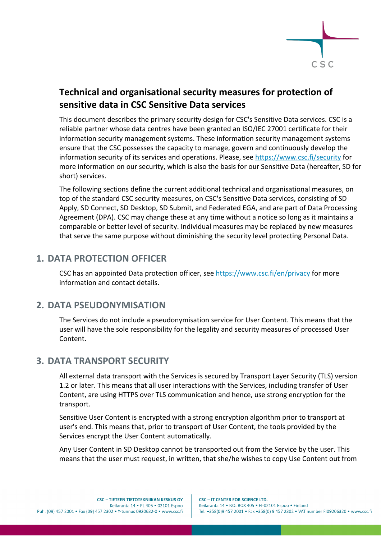

# **Technical and organisational security measures for protection of sensitive data in CSC Sensitive Data services**

This document describes the primary security design for CSC's Sensitive Data services. CSC is a reliable partner whose data centres have been granted an ISO/IEC 27001 certificate for their information security management systems. These information security management systems ensure that the CSC possesses the capacity to manage, govern and continuously develop the information security of its services and operations. Please, see https://www.csc.fi/security for more information on our security, which is also the basis for our Sensitive Data (hereafter, SD for short) services.

The following sections define the current additional technical and organisational measures, on top of the standard CSC security measures, on CSC's Sensitive Data services, consisting of SD Apply, SD Connect, SD Desktop, SD Submit, and Federated EGA, and are part of Data Processing Agreement (DPA). CSC may change these at any time without a notice so long as it maintains a comparable or better level of security. Individual measures may be replaced by new measures that serve the same purpose without diminishing the security level protecting Personal Data.

# **1. DATA PROTECTION OFFICER**

CSC has an appointed Data protection officer, see https://www.csc.fi/en/privacy for more information and contact details.

#### **2. DATA PSEUDONYMISATION**

The Services do not include a pseudonymisation service for User Content. This means that the user will have the sole responsibility for the legality and security measures of processed User Content.

# **3. DATA TRANSPORT SECURITY**

All external data transport with the Services is secured by Transport Layer Security (TLS) version 1.2 or later. This means that all user interactions with the Services, including transfer of User Content, are using HTTPS over TLS communication and hence, use strong encryption for the transport.

Sensitive User Content is encrypted with a strong encryption algorithm prior to transport at user's end. This means that, prior to transport of User Content, the tools provided by the Services encrypt the User Content automatically.

Any User Content in SD Desktop cannot be transported out from the Service by the user. This means that the user must request, in written, that she/he wishes to copy Use Content out from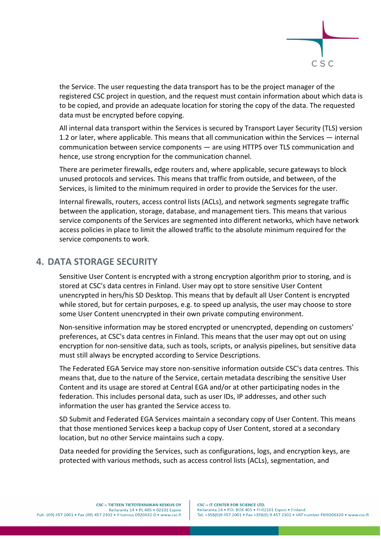

the Service. The user requesting the data transport has to be the project manager of the registered CSC project in question, and the request must contain information about which data is to be copied, and provide an adequate location for storing the copy of the data. The requested data must be encrypted before copying.

All internal data transport within the Services is secured by Transport Layer Security (TLS) version 1.2 or later, where applicable. This means that all communication within the Services — internal communication between service components — are using HTTPS over TLS communication and hence, use strong encryption for the communication channel.

There are perimeter firewalls, edge routers and, where applicable, secure gateways to block unused protocols and services. This means that traffic from outside, and between, of the Services, is limited to the minimum required in order to provide the Services for the user.

Internal firewalls, routers, access control lists (ACLs), and network segments segregate traffic between the application, storage, database, and management tiers. This means that various service components of the Services are segmented into different networks, which have network access policies in place to limit the allowed traffic to the absolute minimum required for the service components to work.

#### **4. DATA STORAGE SECURITY**

Sensitive User Content is encrypted with a strong encryption algorithm prior to storing, and is stored at CSC's data centres in Finland. User may opt to store sensitive User Content unencrypted in hers/his SD Desktop. This means that by default all User Content is encrypted while stored, but for certain purposes, e.g. to speed up analysis, the user may choose to store some User Content unencrypted in their own private computing environment.

Non-sensitive information may be stored encrypted or unencrypted, depending on customers' preferences, at CSC's data centres in Finland. This means that the user may opt out on using encryption for non-sensitive data, such as tools, scripts, or analysis pipelines, but sensitive data must still always be encrypted according to Service Descriptions.

The Federated EGA Service may store non-sensitive information outside CSC's data centres. This means that, due to the nature of the Service, certain metadata describing the sensitive User Content and its usage are stored at Central EGA and/or at other participating nodes in the federation. This includes personal data, such as user IDs, IP addresses, and other such information the user has granted the Service access to.

SD Submit and Federated EGA Services maintain a secondary copy of User Content. This means that those mentioned Services keep a backup copy of User Content, stored at a secondary location, but no other Service maintains such a copy.

Data needed for providing the Services, such as configurations, logs, and encryption keys, are protected with various methods, such as access control lists (ACLs), segmentation, and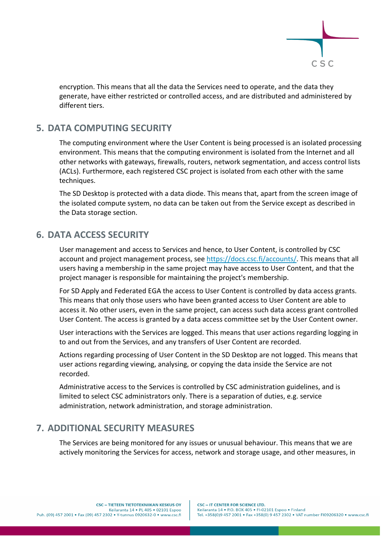

encryption. This means that all the data the Services need to operate, and the data they generate, have either restricted or controlled access, and are distributed and administered by different tiers.

## **5. DATA COMPUTING SECURITY**

The computing environment where the User Content is being processed is an isolated processing environment. This means that the computing environment is isolated from the Internet and all other networks with gateways, firewalls, routers, network segmentation, and access control lists (ACLs). Furthermore, each registered CSC project is isolated from each other with the same techniques.

The SD Desktop is protected with a data diode. This means that, apart from the screen image of the isolated compute system, no data can be taken out from the Service except as described in the Data storage section.

## **6. DATA ACCESS SECURITY**

User management and access to Services and hence, to User Content, is controlled by CSC account and project management process, see https://docs.csc.fi/accounts/. This means that all users having a membership in the same project may have access to User Content, and that the project manager is responsible for maintaining the project's membership.

For SD Apply and Federated EGA the access to User Content is controlled by data access grants. This means that only those users who have been granted access to User Content are able to access it. No other users, even in the same project, can access such data access grant controlled User Content. The access is granted by a data access committee set by the User Content owner.

User interactions with the Services are logged. This means that user actions regarding logging in to and out from the Services, and any transfers of User Content are recorded.

Actions regarding processing of User Content in the SD Desktop are not logged. This means that user actions regarding viewing, analysing, or copying the data inside the Service are not recorded.

Administrative access to the Services is controlled by CSC administration guidelines, and is limited to select CSC administrators only. There is a separation of duties, e.g. service administration, network administration, and storage administration.

# **7. ADDITIONAL SECURITY MEASURES**

The Services are being monitored for any issues or unusual behaviour. This means that we are actively monitoring the Services for access, network and storage usage, and other measures, in